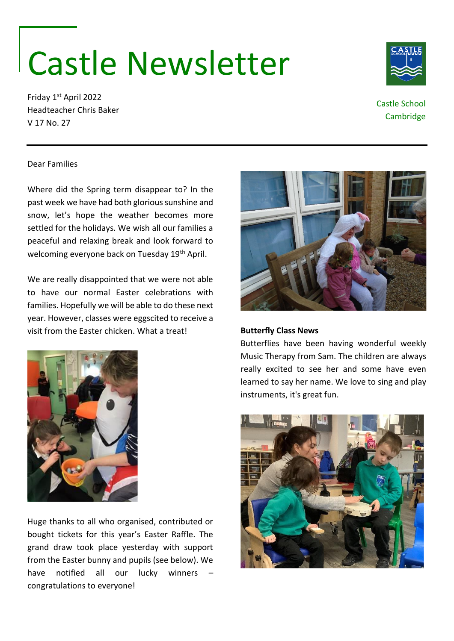# Castle Newsletter

Friday 1st April 2022 Headteacher Chris Baker V 17 No. 27



### Castle School Cambridge

#### Dear Families

Where did the Spring term disappear to? In the past week we have had both glorious sunshine and snow, let's hope the weather becomes more settled for the holidays. We wish all our families a peaceful and relaxing break and look forward to welcoming everyone back on Tuesday 19<sup>th</sup> April.

We are really disappointed that we were not able to have our normal Easter celebrations with families. Hopefully we will be able to do these next year. However, classes were eggscited to receive a visit from the Easter chicken. What a treat!



Huge thanks to all who organised, contributed or bought tickets for this year's Easter Raffle. The grand draw took place yesterday with support from the Easter bunny and pupils (see below). We have notified all our lucky winners – congratulations to everyone!



#### **Butterfly Class News**

Butterflies have been having wonderful weekly Music Therapy from Sam. The children are always really excited to see her and some have even learned to say her name. We love to sing and play instruments, it's great fun.